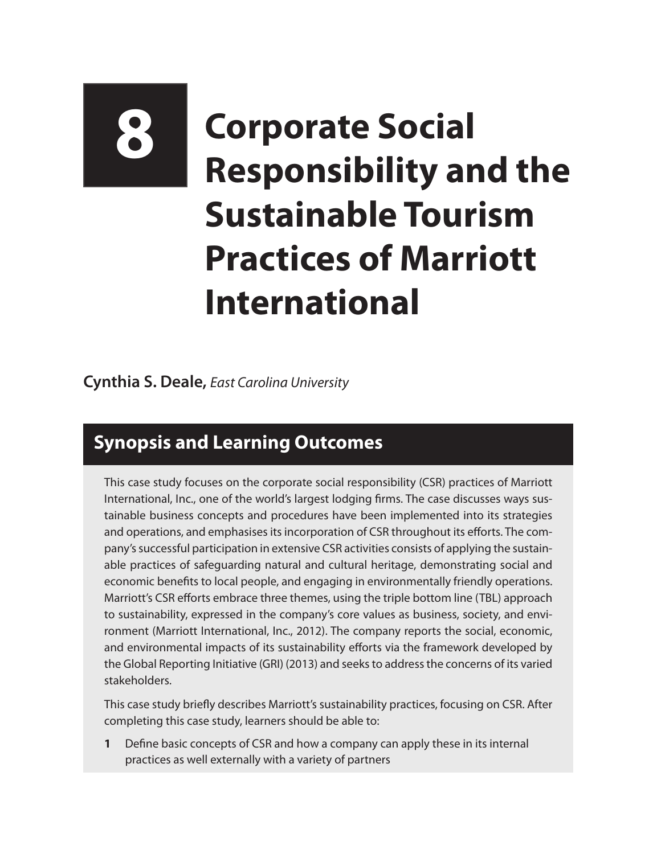# **8 Corporate Social Responsibility and the Sustainable Tourism Practices of Marriott International**

#### **Cynthia S. Deale,** *East Carolina University*

## **Synopsis and Learning Outcomes**

This case study focuses on the corporate social responsibility (CSR) practices of Marriott International, Inc., one of the world's largest lodging firms. The case discusses ways sustainable business concepts and procedures have been implemented into its strategies and operations, and emphasises its incorporation of CSR throughout its efforts. The company's successful participation in extensive CSR activities consists of applying the sustainable practices of safeguarding natural and cultural heritage, demonstrating social and economic benefits to local people, and engaging in environmentally friendly operations. Marriott's CSR efforts embrace three themes, using the triple bottom line (TBL) approach to sustainability, expressed in the company's core values as business, society, and environment (Marriott International, Inc., 2012). The company reports the social, economic, and environmental impacts of its sustainability efforts via the framework developed by the Global Reporting Initiative (GRI) (2013) and seeks to address the concerns of its varied stakeholders.

This case study briefly describes Marriott's sustainability practices, focusing on CSR. After completing this case study, learners should be able to:

**1** Define basic concepts of CSR and how a company can apply these in its internal practices as well externally with a variety of partners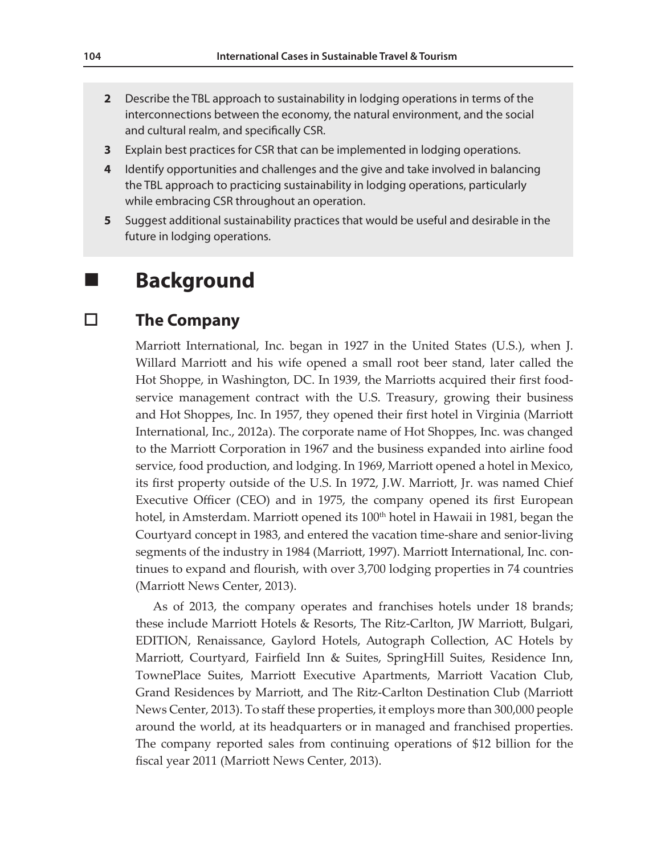- **2** Describe the TBL approach to sustainability in lodging operations in terms of the interconnections between the economy, the natural environment, and the social and cultural realm, and specifically CSR.
- **3** Explain best practices for CSR that can be implemented in lodging operations.
- **4** Identify opportunities and challenges and the give and take involved in balancing the TBL approach to practicing sustainability in lodging operations, particularly while embracing CSR throughout an operation.
- **5** Suggest additional sustainability practices that would be useful and desirable in the future in lodging operations.

## **Background**

#### **The Company**

Marriott International, Inc. began in 1927 in the United States (U.S.), when J. Willard Marriott and his wife opened a small root beer stand, later called the Hot Shoppe, in Washington, DC. In 1939, the Marriotts acquired their first foodservice management contract with the U.S. Treasury, growing their business and Hot Shoppes, Inc. In 1957, they opened their first hotel in Virginia (Marriott International, Inc., 2012a). The corporate name of Hot Shoppes, Inc. was changed to the Marriott Corporation in 1967 and the business expanded into airline food service, food production, and lodging. In 1969, Marriott opened a hotel in Mexico, its first property outside of the U.S. In 1972, J.W. Marriott, Jr. was named Chief Executive Officer (CEO) and in 1975, the company opened its first European hotel, in Amsterdam. Marriott opened its 100<sup>th</sup> hotel in Hawaii in 1981, began the Courtyard concept in 1983, and entered the vacation time-share and senior-living segments of the industry in 1984 (Marriott, 1997). Marriott International, Inc. continues to expand and flourish, with over 3,700 lodging properties in 74 countries (Marriott News Center, 2013).

As of 2013, the company operates and franchises hotels under 18 brands; these include Marriott Hotels & Resorts, The Ritz-Carlton, JW Marriott, Bulgari, EDITION, Renaissance, Gaylord Hotels, Autograph Collection, AC Hotels by Marriott, Courtyard, Fairfield Inn & Suites, SpringHill Suites, Residence Inn, TownePlace Suites, Marriott Executive Apartments, Marriott Vacation Club, Grand Residences by Marriott, and The Ritz-Carlton Destination Club (Marriott News Center, 2013). To staff these properties, it employs more than 300,000 people around the world, at its headquarters or in managed and franchised properties. The company reported sales from continuing operations of \$12 billion for the fiscal year 2011 (Marriott News Center, 2013).